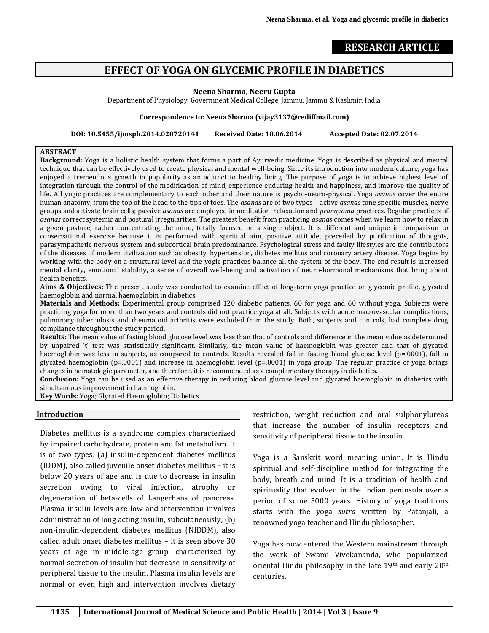## **RESEARCH ARTICLE**

# **EFFECT OF YOGA ON GLYCEMIC PROFILE IN DIABETICS**

#### **Neena Sharma, Neeru Gupta**

Department of Physiology, Government Medical College, Jammu, Jammu & Kashmir, India

#### **Correspondence to: Neena Sharma (vijay3137@rediffmail.com)**

**DOI: 10.5455/ijmsph.2014.020720141 Received Date: 10.06.2014 Accepted Date: 02.07.2014**

#### **ABSTRACT**

**Background:** Yoga is a holistic health system that forms a part of Ayurvedic medicine. Yoga is described as physical and mental technique that can be effectively used to create physical and mental well-being. Since its introduction into modern culture, yoga has enjoyed a tremendous growth in popularity as an adjunct to healthy living. The purpose of yoga is to achieve highest level of integration through the control of the modification of mind, experience enduring health and happiness, and improve the quality of life. All yogic practices are complementary to each other and their nature is psycho-neuro-physical. Yoga *asanas* cover the entire human anatomy, from the top of the head to the tips of toes. The *asanas* are of two types – active *asanas* tone specific muscles, nerve groups and activate brain cells; passive *asanas* are employed in meditation, relaxation and *pranayama* practices. Regular practices of *asanas* correct systemic and postural irregularities. The greatest benefit from practicing *asanas* comes when we learn how to relax in a given posture, rather concentrating the mind, totally focused on a single object. It is different and unique in comparison to conservational exercise because it is performed with spiritual aim, positive attitude, preceded by purification of thoughts, parasympathetic nervous system and subcortical brain predominance. Psychological stress and faulty lifestyles are the contributors of the diseases of modern civilization such as obesity, hypertension, diabetes mellitus and coronary artery disease. Yoga begins by working with the body on a structural level and the yogic practices balance all the system of the body. The end result is increased mental clarity, emotional stability, a sense of overall well-being and activation of neuro-hormonal mechanisms that bring about health benefits.

**Aims & Objectives:** The present study was conducted to examine effect of long-term yoga practice on glycemic profile, glycated haemoglobin and normal haemoglobin in diabetics.

**Materials and Methods:** Experimental group comprised 120 diabetic patients, 60 for yoga and 60 without yoga. Subjects were practicing yoga for more than two years and controls did not practice yoga at all. Subjects with acute macrovascular complications, pulmonary tuberculosis and rheumatoid arthritis were excluded from the study. Both, subjects and controls, had complete drug compliance throughout the study period.

**Results:** The mean value of fasting blood glucose level was less than that of controls and difference in the mean value as determined by unpaired 't' test was statistically significant. Similarly, the mean value of haemoglobin was greater and that of glycated haemoglobin was less in subjects, as compared to controls. Results revealed fall in fasting blood glucose level (p=.0001), fall in glycated haemoglobin (p=.0001) and increase in haemoglobin level (p=.0001) in yoga group. The regular practice of yoga brings changes in hematologic parameter, and therefore, it is recommended as a complementary therapy in diabetics.

**Conclusion:** Yoga can be used as an effective therapy in reducing blood glucose level and glycated haemoglobin in diabetics with simultaneous improvement in haemoglobin.

**Key Words:** Yoga; Glycated Haemoglobin; Diabetics

#### **Introduction**

Diabetes mellitus is a syndrome complex characterized by impaired carbohydrate, protein and fat metabolism. It is of two types: (a) insulin-dependent diabetes mellitus (IDDM), also called juvenile onset diabetes mellitus – it is below 20 years of age and is due to decrease in insulin secretion owing to viral infection, atrophy or degeneration of beta-cells of Langerhans of pancreas. Plasma insulin levels are low and intervention involves administration of long acting insulin, subcutaneously; (b) non-insulin-dependent diabetes mellitus (NIDDM), also called adult onset diabetes mellitus – it is seen above 30 years of age in middle-age group, characterized by normal secretion of insulin but decrease in sensitivity of peripheral tissue to the insulin. Plasma insulin levels are normal or even high and intervention involves dietary restriction, weight reduction and oral sulphonylureas that increase the number of insulin receptors and sensitivity of peripheral tissue to the insulin.

Yoga is a Sanskrit word meaning union. It is Hindu spiritual and self-discipline method for integrating the body, breath and mind. It is a tradition of health and spirituality that evolved in the Indian peninsula over a period of some 5000 years. History of yoga traditions starts with the yoga *sutra* written by Patanjali, a renowned yoga teacher and Hindu philosopher.

Yoga has now entered the Western mainstream through the work of Swami Vivekananda, who popularized oriental Hindu philosophy in the late 19th and early 20th centuries.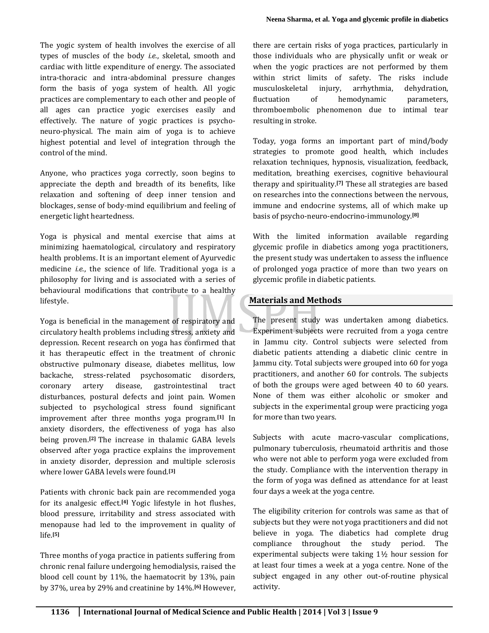The yogic system of health involves the exercise of all types of muscles of the body *i.e.*, skeletal, smooth and cardiac with little expenditure of energy. The associated intra-thoracic and intra-abdominal pressure changes form the basis of yoga system of health. All yogic practices are complementary to each other and people of all ages can practice yogic exercises easily and effectively. The nature of yogic practices is psychoneuro-physical. The main aim of yoga is to achieve highest potential and level of integration through the control of the mind.

Anyone, who practices yoga correctly, soon begins to appreciate the depth and breadth of its benefits, like relaxation and softening of deep inner tension and blockages, sense of body-mind equilibrium and feeling of energetic light heartedness.

Yoga is physical and mental exercise that aims at minimizing haematological, circulatory and respiratory health problems. It is an important element of Ayurvedic medicine *i.e.*, the science of life. Traditional yoga is a philosophy for living and is associated with a series of behavioural modifications that contribute to a healthy lifestyle.

Yoga is beneficial in the management of respiratory and circulatory health problems including stress, anxiety and depression. Recent research on yoga has confirmed that it has therapeutic effect in the treatment of chronic obstructive pulmonary disease, diabetes mellitus, low backache, stress-related psychosomatic disorders, coronary artery disease, gastrointestinal tract disturbances, postural defects and joint pain. Women subjected to psychological stress found significant improvement after three months yoga program.**[1]** In anxiety disorders, the effectiveness of yoga has also being proven.**[2]** The increase in thalamic GABA levels observed after yoga practice explains the improvement in anxiety disorder, depression and multiple sclerosis where lower GABA levels were found.**[3]**

Patients with chronic back pain are recommended yoga for its analgesic effect.**[4]** Yogic lifestyle in hot flushes, blood pressure, irritability and stress associated with menopause had led to the improvement in quality of life.**[5]**

Three months of yoga practice in patients suffering from chronic renal failure undergoing hemodialysis, raised the blood cell count by 11%, the haematocrit by 13%, pain by 37%, urea by 29% and creatinine by 14%.**[6]** However, there are certain risks of yoga practices, particularly in those individuals who are physically unfit or weak or when the yogic practices are not performed by them within strict limits of safety. The risks include musculoskeletal injury, arrhythmia, dehydration, fluctuation of hemodynamic parameters, thromboembolic phenomenon due to intimal tear resulting in stroke.

Today, yoga forms an important part of mind/body strategies to promote good health, which includes relaxation techniques, hypnosis, visualization, feedback, meditation, breathing exercises, cognitive behavioural therapy and spirituality.**[7]** These all strategies are based on researches into the connections between the nervous, immune and endocrine systems, all of which make up basis of psycho-neuro-endocrino-immunology.**[8]**

With the limited information available regarding glycemic profile in diabetics among yoga practitioners, the present study was undertaken to assess the influence of prolonged yoga practice of more than two years on glycemic profile in diabetic patients.

## **Materials and Methods**

The present study was undertaken among diabetics. Experiment subjects were recruited from a yoga centre in Jammu city. Control subjects were selected from diabetic patients attending a diabetic clinic centre in Jammu city. Total subjects were grouped into 60 for yoga practitioners, and another 60 for controls. The subjects of both the groups were aged between 40 to 60 years. None of them was either alcoholic or smoker and subjects in the experimental group were practicing yoga for more than two years.

Subjects with acute macro-vascular complications, pulmonary tuberculosis, rheumatoid arthritis and those who were not able to perform yoga were excluded from the study. Compliance with the intervention therapy in the form of yoga was defined as attendance for at least four days a week at the yoga centre.

The eligibility criterion for controls was same as that of subjects but they were not yoga practitioners and did not believe in yoga. The diabetics had complete drug compliance throughout the study period. The experimental subjects were taking 1½ hour session for at least four times a week at a yoga centre. None of the subject engaged in any other out-of-routine physical activity.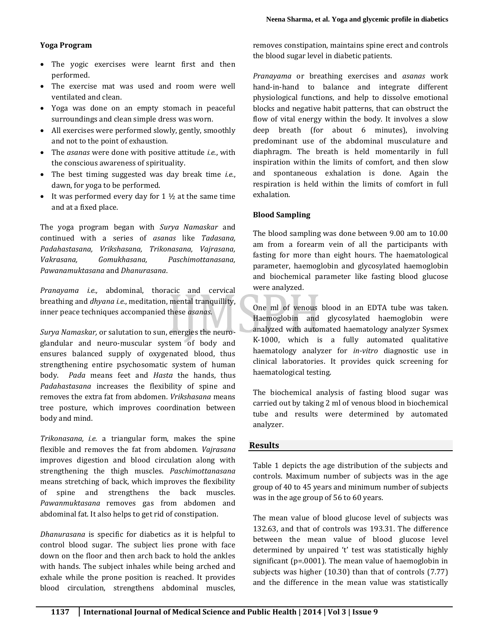### **Yoga Program**

- The yogic exercises were learnt first and then performed.
- The exercise mat was used and room were well ventilated and clean.
- Yoga was done on an empty stomach in peaceful surroundings and clean simple dress was worn.
- All exercises were performed slowly, gently, smoothly and not to the point of exhaustion.
- The *asanas* were done with positive attitude *i.e.*, with the conscious awareness of spirituality.
- The best timing suggested was day break time *i.e.*, dawn, for yoga to be performed.
- It was performed every day for  $1 \frac{1}{2}$  at the same time and at a fixed place.

The yoga program began with *Surya Namaskar* and continued with a series of *asanas* like *Tadasana, Padahastasana, Vrikshasana, Trikonasana, Vajrasana, Vakrasana, Gomukhasana, Paschimottanasana, Pawanamuktasana* and *Dhanurasana*.

*Pranayama i.e.,* abdominal, thoracic and cervical breathing and *dhyana i.e.*, meditation, mental tranquillity, inner peace techniques accompanied these *asanas*.

*Surya Namaskar,* or salutation to sun, energies the neuroglandular and neuro-muscular system of body and ensures balanced supply of oxygenated blood, thus strengthening entire psychosomatic system of human body. *Pada* means feet and *Hasta* the hands, thus *Padahastasana* increases the flexibility of spine and removes the extra fat from abdomen. *Vrikshasana* means tree posture, which improves coordination between body and mind.

*Trikonasana, i.e.* a triangular form, makes the spine flexible and removes the fat from abdomen. *Vajrasana* improves digestion and blood circulation along with strengthening the thigh muscles. *Paschimottanasana* means stretching of back, which improves the flexibility of spine and strengthens the back muscles. *Pawanmuktasana* removes gas from abdomen and abdominal fat. It also helps to get rid of constipation.

*Dhanurasana* is specific for diabetics as it is helpful to control blood sugar. The subject lies prone with face down on the floor and then arch back to hold the ankles with hands. The subject inhales while being arched and exhale while the prone position is reached. It provides blood circulation, strengthens abdominal muscles, removes constipation, maintains spine erect and controls the blood sugar level in diabetic patients.

*Pranayama* or breathing exercises and *asanas* work hand-in-hand to balance and integrate different physiological functions, and help to dissolve emotional blocks and negative habit patterns, that can obstruct the flow of vital energy within the body. It involves a slow deep breath (for about 6 minutes), involving predominant use of the abdominal musculature and diaphragm. The breath is held momentarily in full inspiration within the limits of comfort, and then slow and spontaneous exhalation is done. Again the respiration is held within the limits of comfort in full exhalation.

#### **Blood Sampling**

The blood sampling was done between 9.00 am to 10.00 am from a forearm vein of all the participants with fasting for more than eight hours. The haematological parameter, haemoglobin and glycosylated haemoglobin and biochemical parameter like fasting blood glucose were analyzed.

One ml of venous blood in an EDTA tube was taken. Haemoglobin and glycosylated haemoglobin were analyzed with automated haematology analyzer Sysmex K-1000, which is a fully automated qualitative haematology analyzer for *in-vitro* diagnostic use in clinical laboratories. It provides quick screening for haematological testing.

The biochemical analysis of fasting blood sugar was carried out by taking 2 ml of venous blood in biochemical tube and results were determined by automated analyzer.

#### **Results**

Table 1 depicts the age distribution of the subjects and controls. Maximum number of subjects was in the age group of 40 to 45 years and minimum number of subjects was in the age group of 56 to 60 years.

The mean value of blood glucose level of subjects was 132.63, and that of controls was 193.31. The difference between the mean value of blood glucose level determined by unpaired 't' test was statistically highly significant (p=.0001). The mean value of haemoglobin in subjects was higher (10.30) than that of controls (7.77) and the difference in the mean value was statistically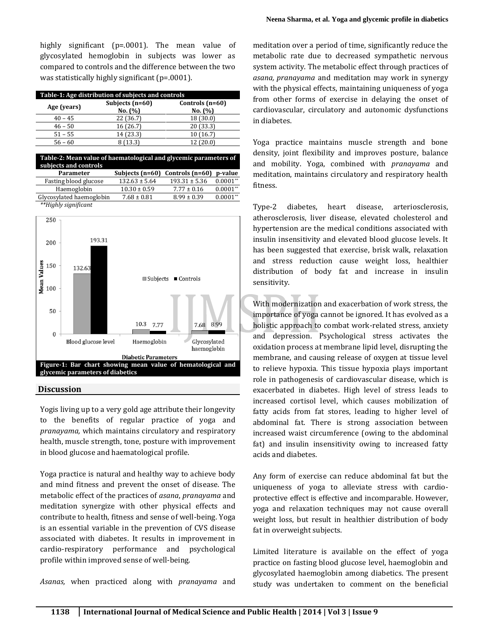highly significant (p=.0001). The mean value of glycosylated hemoglobin in subjects was lower as compared to controls and the difference between the two was statistically highly significant (p=.0001).

| Table-1: Age distribution of subjects and controls |                            |                              |  |
|----------------------------------------------------|----------------------------|------------------------------|--|
| Age (years)                                        | Subjects (n=60)<br>No. (%) | Controls $(n=60)$<br>No. (%) |  |
| $40 - 45$                                          | 22 (36.7)                  | 18 (30.0)                    |  |
| $46 - 50$                                          | 16 (26.7)                  | 20 (33.3)                    |  |
| $51 - 55$                                          | 14 (23.3)                  | 10 (16.7)                    |  |
| $56 - 60$                                          | (13.3)                     | 12 (20.0)                    |  |

| Table-2: Mean value of haematological and glycemic parameters of<br>subjects and controls |                   |                   |            |  |
|-------------------------------------------------------------------------------------------|-------------------|-------------------|------------|--|
| Parameter                                                                                 | Subjects (n=60)   | Controls (n=60)   | p-value    |  |
| Fasting blood glucose                                                                     | $132.63 \pm 5.64$ | $193.31 \pm 5.36$ | $0.0001**$ |  |
| Haemoglobin                                                                               | $10.30 \pm 0.59$  | $7.77 \pm 0.16$   | $0.0001**$ |  |
| Glycosylated haemoglobin                                                                  | $7.68 \pm 0.81$   | $8.99 \pm 0.39$   | $0.0001**$ |  |
| **Highly significant                                                                      |                   |                   |            |  |



#### **Discussion**

Yogis living up to a very gold age attribute their longevity to the benefits of regular practice of yoga and *pranayama,* which maintains circulatory and respiratory health, muscle strength, tone, posture with improvement in blood glucose and haematological profile.

Yoga practice is natural and healthy way to achieve body and mind fitness and prevent the onset of disease. The metabolic effect of the practices of *asana*, *pranayama* and meditation synergize with other physical effects and contribute to health, fitness and sense of well-being. Yoga is an essential variable in the prevention of CVS disease associated with diabetes. It results in improvement in cardio-respiratory performance and psychological profile within improved sense of well-being.

*Asanas,* when practiced along with *pranayama* and

meditation over a period of time, significantly reduce the metabolic rate due to decreased sympathetic nervous system activity. The metabolic effect through practices of *asana, pranayama* and meditation may work in synergy with the physical effects, maintaining uniqueness of yoga from other forms of exercise in delaying the onset of cardiovascular, circulatory and autonomic dysfunctions in diabetes.

Yoga practice maintains muscle strength and bone density, joint flexibility and improves posture, balance and mobility. Yoga, combined with *pranayama* and meditation, maintains circulatory and respiratory health fitness.

Type-2 diabetes, heart disease, arteriosclerosis, atherosclerosis, liver disease, elevated cholesterol and hypertension are the medical conditions associated with insulin insensitivity and elevated blood glucose levels. It has been suggested that exercise, brisk walk, relaxation and stress reduction cause weight loss, healthier distribution of body fat and increase in insulin sensitivity.

With modernization and exacerbation of work stress, the importance of yoga cannot be ignored. It has evolved as a holistic approach to combat work-related stress, anxiety and depression. Psychological stress activates the oxidation process at membrane lipid level, disrupting the membrane, and causing release of oxygen at tissue level to relieve hypoxia. This tissue hypoxia plays important role in pathogenesis of cardiovascular disease, which is exacerbated in diabetes. High level of stress leads to increased cortisol level, which causes mobilization of fatty acids from fat stores, leading to higher level of abdominal fat. There is strong association between increased waist circumference (owing to the abdominal fat) and insulin insensitivity owing to increased fatty acids and diabetes.

Any form of exercise can reduce abdominal fat but the uniqueness of yoga to alleviate stress with cardioprotective effect is effective and incomparable. However, yoga and relaxation techniques may not cause overall weight loss, but result in healthier distribution of body fat in overweight subjects.

Limited literature is available on the effect of yoga practice on fasting blood glucose level, haemoglobin and glycosylated haemoglobin among diabetics. The present study was undertaken to comment on the beneficial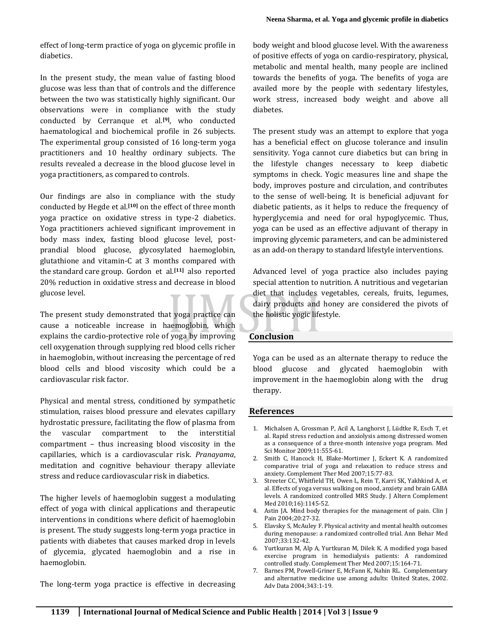effect of long-term practice of yoga on glycemic profile in diabetics.

In the present study, the mean value of fasting blood glucose was less than that of controls and the difference between the two was statistically highly significant. Our observations were in compliance with the study conducted by Cerranque et al.**[9]**, who conducted haematological and biochemical profile in 26 subjects. The experimental group consisted of 16 long-term yoga practitioners and 10 healthy ordinary subjects. The results revealed a decrease in the blood glucose level in yoga practitioners, as compared to controls.

Our findings are also in compliance with the study conducted by Hegde et al.**[10]** on the effect of three month yoga practice on oxidative stress in type-2 diabetics. Yoga practitioners achieved significant improvement in body mass index, fasting blood glucose level, postprandial blood glucose, glycosylated haemoglobin, glutathione and vitamin-C at 3 months compared with the standard care group. Gordon et al.**[11]** also reported 20% reduction in oxidative stress and decrease in blood glucose level.

The present study demonstrated that yoga practice can cause a noticeable increase in haemoglobin, which explains the cardio-protective role of yoga by improving cell oxygenation through supplying red blood cells richer in haemoglobin, without increasing the percentage of red blood cells and blood viscosity which could be a cardiovascular risk factor.

Physical and mental stress, conditioned by sympathetic stimulation, raises blood pressure and elevates capillary hydrostatic pressure, facilitating the flow of plasma from the vascular compartment to the interstitial compartment – thus increasing blood viscosity in the capillaries, which is a cardiovascular risk. *Pranayama*, meditation and cognitive behaviour therapy alleviate stress and reduce cardiovascular risk in diabetics.

The higher levels of haemoglobin suggest a modulating effect of yoga with clinical applications and therapeutic interventions in conditions where deficit of haemoglobin is present. The study suggests long-term yoga practice in patients with diabetes that causes marked drop in levels of glycemia, glycated haemoglobin and a rise in haemoglobin.

The long-term yoga practice is effective in decreasing

body weight and blood glucose level. With the awareness of positive effects of yoga on cardio-respiratory, physical, metabolic and mental health, many people are inclined towards the benefits of yoga. The benefits of yoga are availed more by the people with sedentary lifestyles, work stress, increased body weight and above all diabetes.

The present study was an attempt to explore that yoga has a beneficial effect on glucose tolerance and insulin sensitivity. Yoga cannot cure diabetics but can bring in the lifestyle changes necessary to keep diabetic symptoms in check. Yogic measures line and shape the body, improves posture and circulation, and contributes to the sense of well-being. It is beneficial adjuvant for diabetic patients, as it helps to reduce the frequency of hyperglycemia and need for oral hypoglycemic. Thus, yoga can be used as an effective adjuvant of therapy in improving glycemic parameters, and can be administered as an add-on therapy to standard lifestyle interventions.

Advanced level of yoga practice also includes paying special attention to nutrition. A nutritious and vegetarian diet that includes vegetables, cereals, fruits, legumes, dairy products and honey are considered the pivots of the holistic yogic lifestyle.

## **Conclusion**

Yoga can be used as an alternate therapy to reduce the blood glucose and glycated haemoglobin with improvement in the haemoglobin along with the drug therapy.

## **References**

- 1. Michalsen A, Grossman P, Acil A, Langhorst J, Lüdtke R, Esch T, et al. Rapid stress reduction and anxiolysis among distressed women as a consequence of a three-month intensive yoga program. Med Sci Monitor 2009;11:555-61.
- 2. Smith C, Hancock H, Blake-Mortimer J, Eckert K. A randomized comparative trial of yoga and relaxation to reduce stress and anxiety. Complement Ther Med 2007;15:77-83.
- 3. Streeter CC, Whitfield TH, Owen L, Rein T, Karri SK, Yakhkind A, et al. Effects of yoga versus walking on mood, anxiety and brain GABA levels. A randomized controlled MRS Study. J Altern Complement Med 2010;16):1145-52.
- 4. Astin JA. Mind body therapies for the management of pain. Clin J Pain 2004;20:27-32.
- 5. Elavsky S, McAuley F. Physical activity and mental health outcomes during menopause: a randomized controlled trial. Ann Behar Med 2007;33:132-42.
- 6. Yurtkuran M, Alp A, Yurtkuran M, Dilek K. A modified yoga based exercise program in hemodialysis patients: A randomized controlled study. Complement Ther Med 2007;15:164-71.
- 7. Barnes PM, Powell-Griner E, McFann K, Nahin RL. Complementary and alternative medicine use among adults: United States, 2002. Adv Data 2004;343:1-19.